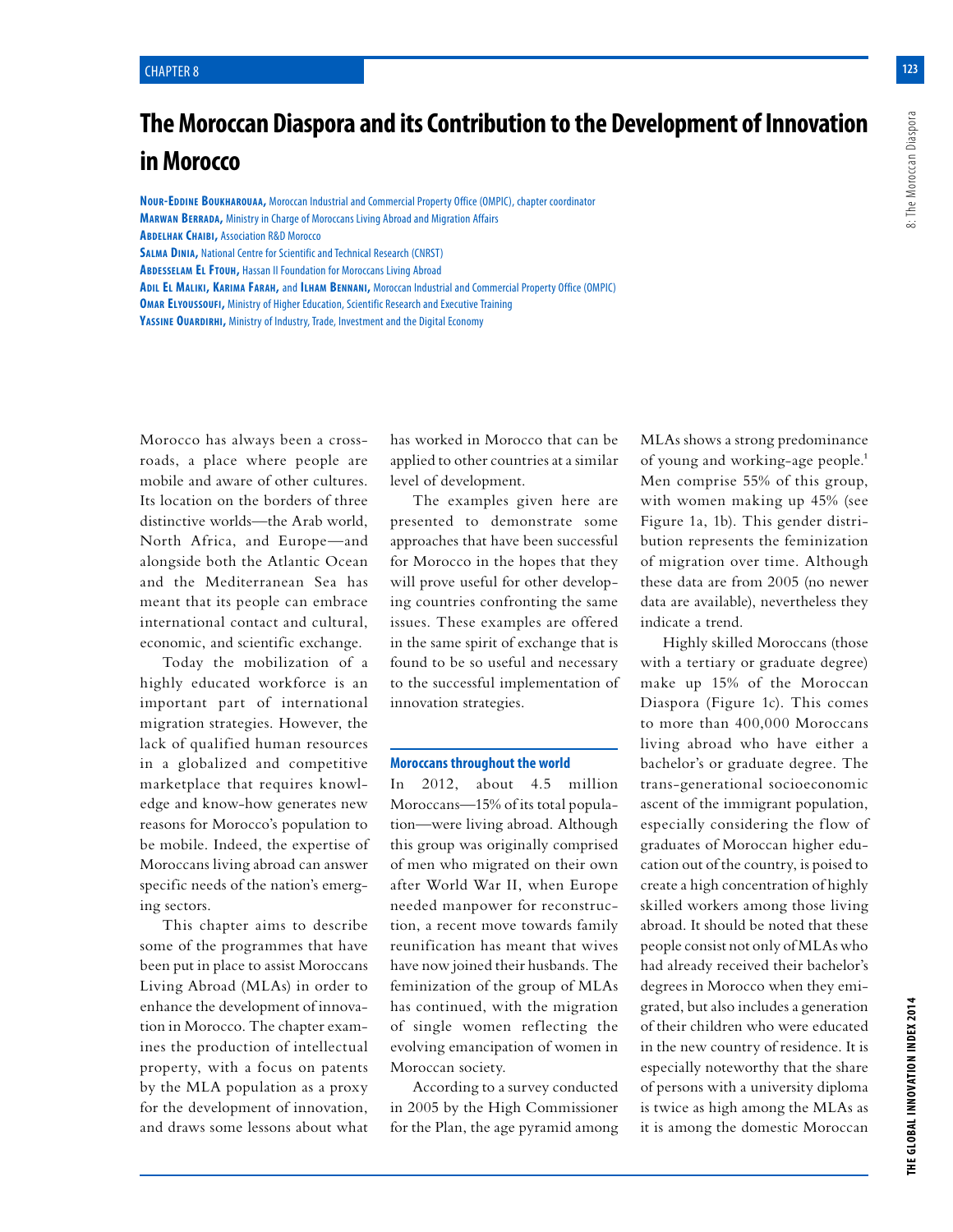8: The Moroccan Diaspora

# **The Moroccan Diaspora and its Contribution to the Development of Innovation in Morocco**

**Nour-Eddine Boukharouaa,** Moroccan Industrial and Commercial Property Office (OMPIC), chapter coordinator **Marwan Berrada,** Ministry in Charge of Moroccans Living Abroad and Migration Affairs **Abdelhak Chaibi,** Association R&D Morocco **Salma Dinia,** National Centre for Scientific and Technical Research (CNRST) **Abdesselam El Ftouh,** Hassan II Foundation for Moroccans Living Abroad **Adil El Maliki, Karima Farah,** and **Ilham Bennani,** Moroccan Industrial and Commercial Property Office (OMPIC)

**OMAR ELYOUSSOUFI, Ministry of Higher Education, Scientific Research and Executive Training YASSINE OUARDIRHI, Ministry of Industry, Trade, Investment and the Digital Economy** 

Morocco has always been a crossroads, a place where people are mobile and aware of other cultures. Its location on the borders of three distinctive worlds—the Arab world, North Africa, and Europe—and alongside both the Atlantic Ocean and the Mediterranean Sea has meant that its people can embrace international contact and cultural, economic, and scientific exchange.

Today the mobilization of a highly educated workforce is an important part of international migration strategies. However, the lack of qualified human resources in a globalized and competitive marketplace that requires knowledge and know-how generates new reasons for Morocco's population to be mobile. Indeed, the expertise of Moroccans living abroad can answer specific needs of the nation's emerging sectors.

This chapter aims to describe some of the programmes that have been put in place to assist Moroccans Living Abroad (MLAs) in order to enhance the development of innovation in Morocco. The chapter examines the production of intellectual property, with a focus on patents by the MLA population as a proxy for the development of innovation, and draws some lessons about what has worked in Morocco that can be applied to other countries at a similar level of development.

The examples given here are presented to demonstrate some approaches that have been successful for Morocco in the hopes that they will prove useful for other developing countries confronting the same issues. These examples are offered in the same spirit of exchange that is found to be so useful and necessary to the successful implementation of innovation strategies.

#### **Moroccans throughout the world**

In 2012, about 4.5 million Moroccans—15% of its total population—were living abroad. Although this group was originally comprised of men who migrated on their own after World War II, when Europe needed manpower for reconstruction, a recent move towards family reunification has meant that wives have now joined their husbands. The feminization of the group of MLAs has continued, with the migration of single women reflecting the evolving emancipation of women in Moroccan society.

According to a survey conducted in 2005 by the High Commissioner for the Plan, the age pyramid among

MLAs shows a strong predominance of young and working-age people.<sup>1</sup> Men comprise 55% of this group, with women making up 45% (see Figure 1a, 1b). This gender distribution represents the feminization of migration over time. Although these data are from 2005 (no newer data are available), nevertheless they indicate a trend.

Highly skilled Moroccans (those with a tertiary or graduate degree) make up 15% of the Moroccan Diaspora (Figure 1c). This comes to more than 400,000 Moroccans living abroad who have either a bachelor's or graduate degree. The trans-generational socioeconomic ascent of the immigrant population, especially considering the flow of graduates of Moroccan higher education out of the country, is poised to create a high concentration of highly skilled workers among those living abroad. It should be noted that these people consist not only of MLAs who had already received their bachelor's degrees in Morocco when they emigrated, but also includes a generation of their children who were educated in the new country of residence. It is especially noteworthy that the share of persons with a university diploma is twice as high among the MLAs as it is among the domestic Moroccan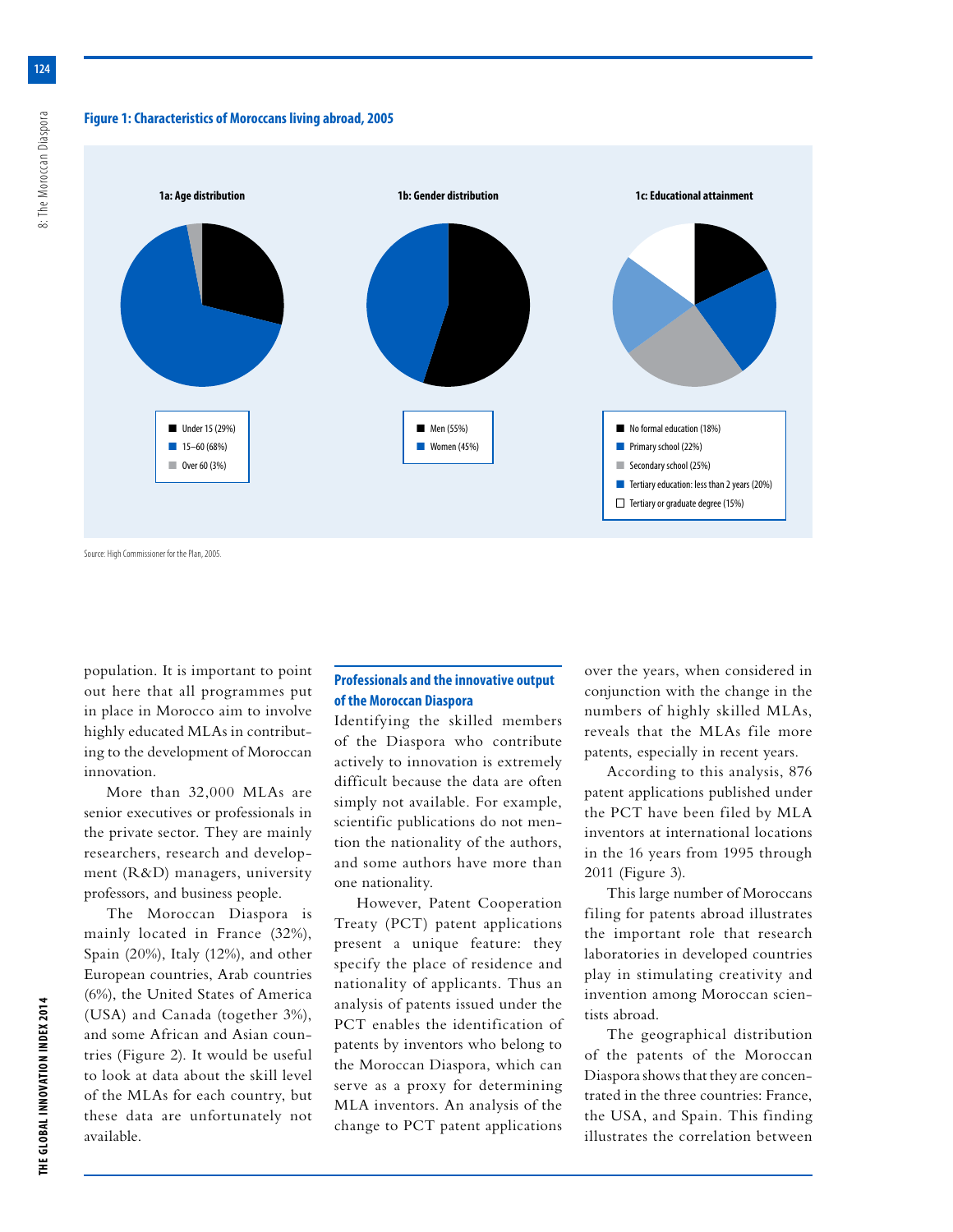## **Figure 1: Characteristics of Moroccans living abroad, 2005**



Source: High Commissioner for the Plan, 2005.

population. It is important to point out here that all programmes put in place in Morocco aim to involve highly educated MLAs in contributing to the development of Moroccan innovation.

More than 32,000 MLAs are senior executives or professionals in the private sector. They are mainly researchers, research and development (R&D) managers, university professors, and business people.

The Moroccan Diaspora is mainly located in France (32%), Spain (20%), Italy (12%), and other European countries, Arab countries (6%), the United States of America (USA) and Canada (together 3%), and some African and Asian countries (Figure 2). It would be useful to look at data about the skill level of the MLAs for each country, but these data are unfortunately not available.

## **Professionals and the innovative output of the Moroccan Diaspora**

Identifying the skilled members of the Diaspora who contribute actively to innovation is extremely difficult because the data are often simply not available. For example, scientific publications do not mention the nationality of the authors, and some authors have more than one nationality.

However, Patent Cooperation Treaty (PCT) patent applications present a unique feature: they specify the place of residence and nationality of applicants. Thus an analysis of patents issued under the PCT enables the identification of patents by inventors who belong to the Moroccan Diaspora, which can serve as a proxy for determining MLA inventors. An analysis of the change to PCT patent applications

over the years, when considered in conjunction with the change in the numbers of highly skilled MLAs, reveals that the MLAs file more patents, especially in recent years.

According to this analysis, 876 patent applications published under the PCT have been filed by MLA inventors at international locations in the 16 years from 1995 through 2011 (Figure 3).

This large number of Moroccans filing for patents abroad illustrates the important role that research laboratories in developed countries play in stimulating creativity and invention among Moroccan scientists abroad.

The geographical distribution of the patents of the Moroccan Diaspora shows that they are concentrated in the three countries: France, the USA, and Spain. This finding illustrates the correlation between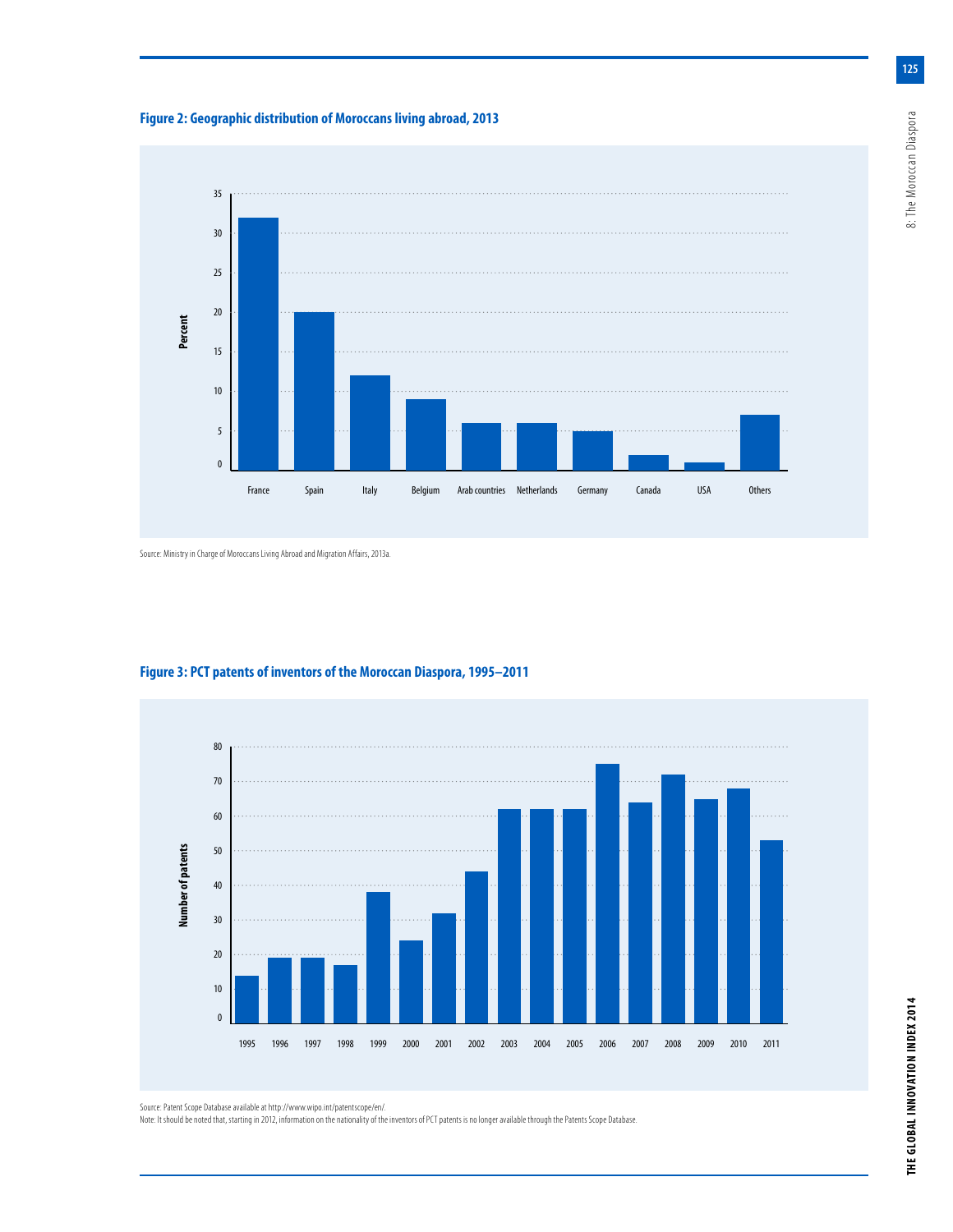



Source: Ministry in Charge of Moroccans Living Abroad and Migration Affairs, 2013a.



**Figure 3: PCT patents of inventors of the Moroccan Diaspora, 1995–2011**

Source: Patent Scope Database available at http://www.wipo.int/patentscope/en/.

Note: It should be noted that, starting in 2012, information on the nationality of the inventors of PCT patents is no longer available through the Patents Scope Database.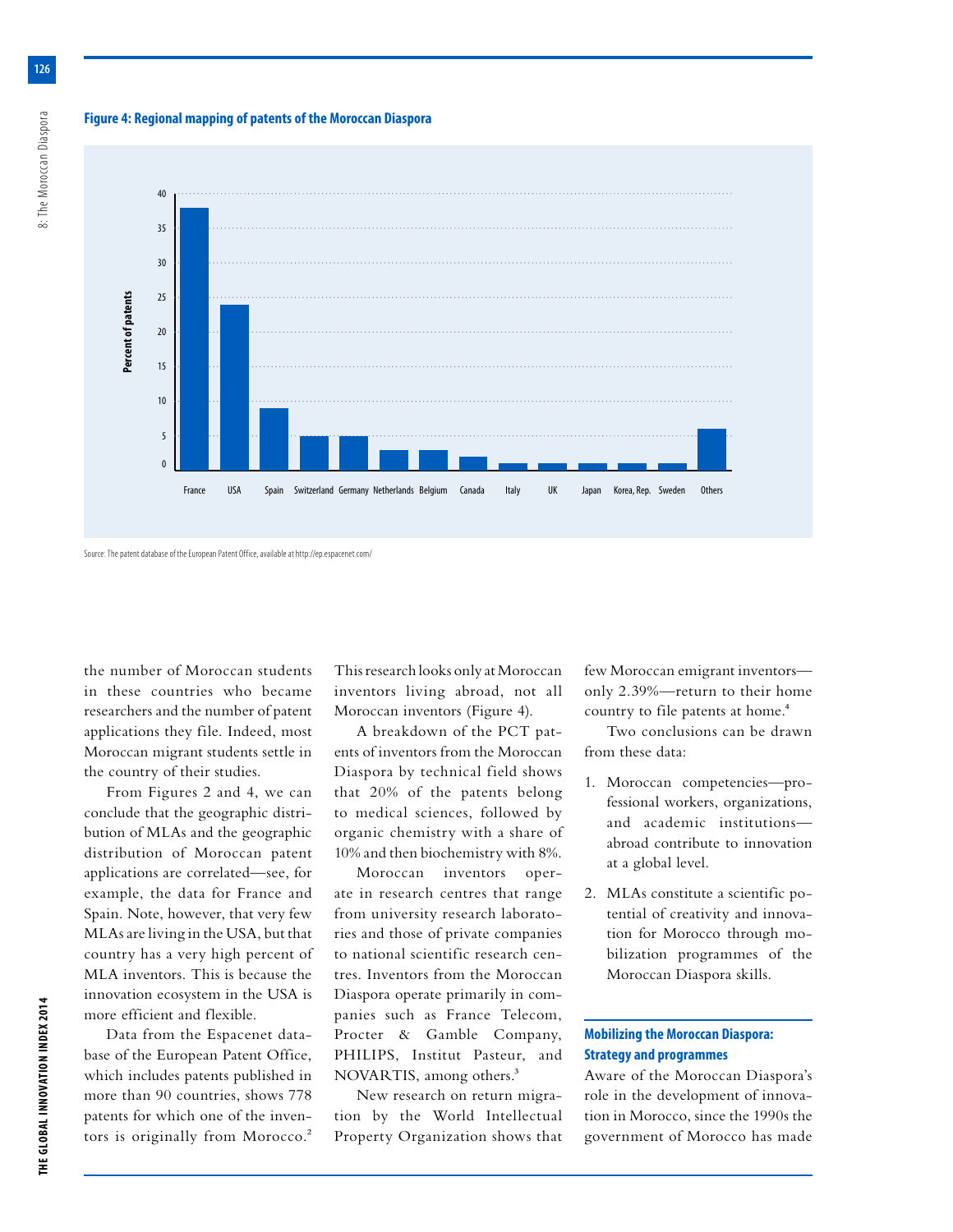#### **Figure 4: Regional mapping of patents of the Moroccan Diaspora**



#### Source: The patent database of the European Patent Office, available at http://ep.espacenet.com/

the number of Moroccan students in these countries who became researchers and the number of patent applications they file. Indeed, most Moroccan migrant students settle in the country of their studies.

From Figures 2 and 4, we can conclude that the geographic distribution of MLAs and the geographic distribution of Moroccan patent applications are correlated—see, for example, the data for France and Spain. Note, however, that very few MLAs are living in the USA, but that country has a very high percent of MLA inventors. This is because the innovation ecosystem in the USA is more efficient and flexible.

Data from the Espacenet database of the European Patent Office, which includes patents published in more than 90 countries, shows 778 patents for which one of the inventors is originally from Morocco.<sup>2</sup> This research looks only at Moroccan inventors living abroad, not all Moroccan inventors (Figure 4).

A breakdown of the PCT patents of inventors from the Moroccan Diaspora by technical field shows that 20% of the patents belong to medical sciences, followed by organic chemistry with a share of 10% and then biochemistry with 8%.

Moroccan inventors operate in research centres that range from university research laboratories and those of private companies to national scientific research centres. Inventors from the Moroccan Diaspora operate primarily in companies such as France Telecom, Procter & Gamble Company, PHILIPS, Institut Pasteur, and NOVARTIS, among others.<sup>3</sup>

New research on return migration by the World Intellectual Property Organization shows that few Moroccan emigrant inventors only 2.39%—return to their home country to file patents at home.<sup>4</sup>

Two conclusions can be drawn from these data:

- 1. Moroccan competencies—professional workers, organizations, and academic institutions abroad contribute to innovation at a global level.
- 2. MLAs constitute a scientific potential of creativity and innovation for Morocco through mobilization programmes of the Moroccan Diaspora skills.

## **Mobilizing the Moroccan Diaspora: Strategy and programmes**

Aware of the Moroccan Diaspora's role in the development of innovation in Morocco, since the 1990s the government of Morocco has made

**126**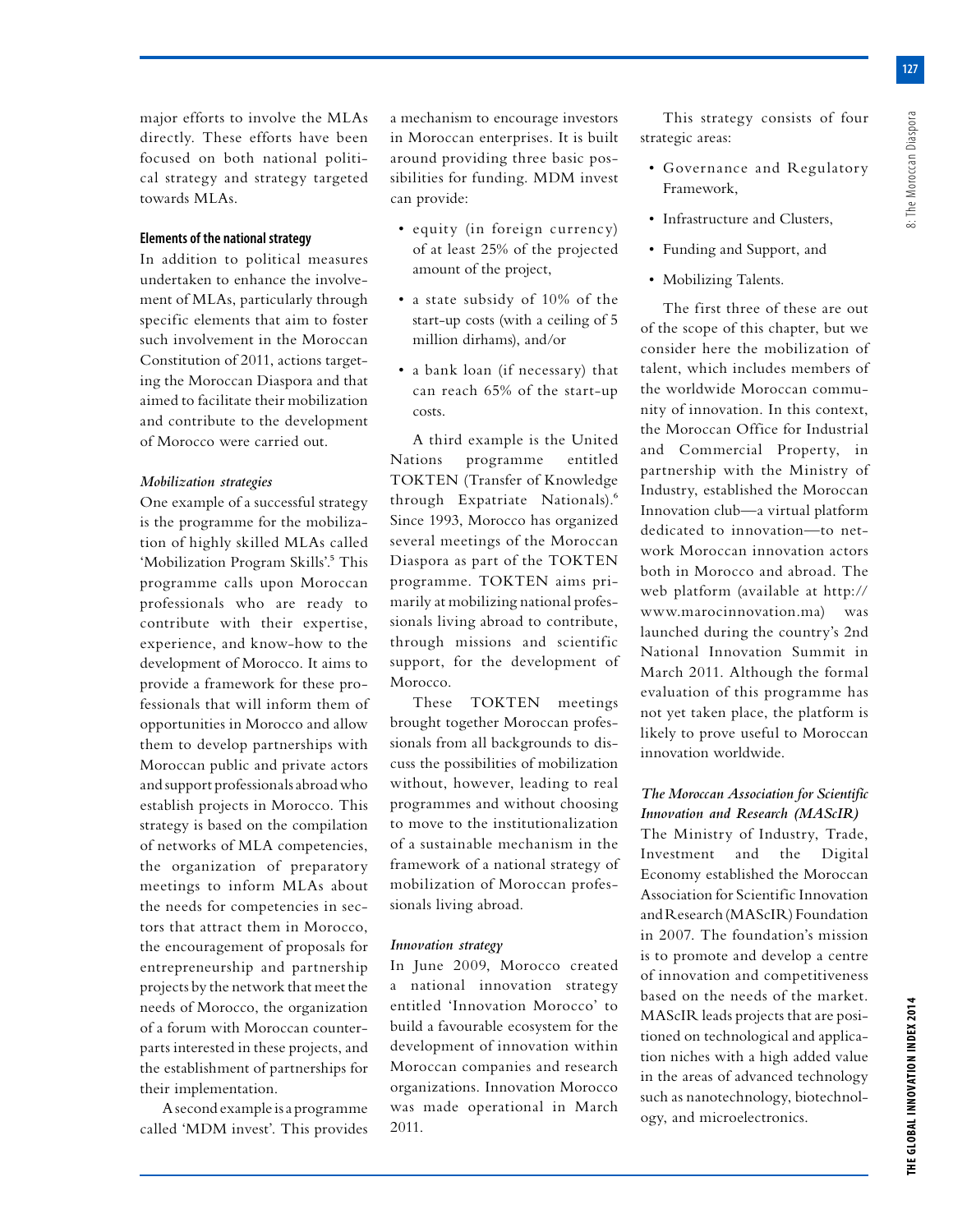major efforts to involve the MLAs directly. These efforts have been focused on both national political strategy and strategy targeted towards MLAs.

## **Elements of the national strategy**

In addition to political measures undertaken to enhance the involvement of MLAs, particularly through specific elements that aim to foster such involvement in the Moroccan Constitution of 2011, actions targeting the Moroccan Diaspora and that aimed to facilitate their mobilization and contribute to the development of Morocco were carried out.

### *Mobilization strategies*

One example of a successful strategy is the programme for the mobilization of highly skilled MLAs called 'Mobilization Program Skills'.<sup>5</sup> This programme calls upon Moroccan professionals who are ready to contribute with their expertise, experience, and know-how to the development of Morocco. It aims to provide a framework for these professionals that will inform them of opportunities in Morocco and allow them to develop partnerships with Moroccan public and private actors and support professionals abroad who establish projects in Morocco. This strategy is based on the compilation of networks of MLA competencies, the organization of preparatory meetings to inform MLAs about the needs for competencies in sectors that attract them in Morocco, the encouragement of proposals for entrepreneurship and partnership projects by the network that meet the needs of Morocco, the organization of a forum with Moroccan counterparts interested in these projects, and the establishment of partnerships for their implementation.

A second example is a programme called 'MDM invest'. This provides a mechanism to encourage investors in Moroccan enterprises. It is built around providing three basic possibilities for funding. MDM invest can provide:

- equity (in foreign currency) of at least 25% of the projected amount of the project,
- a state subsidy of 10% of the start-up costs (with a ceiling of 5 million dirhams), and/or
- a bank loan (if necessary) that can reach 65% of the start-up costs.

A third example is the United Nations programme entitled TOKTEN (Transfer of Knowledge through Expatriate Nationals).6 Since 1993, Morocco has organized several meetings of the Moroccan Diaspora as part of the TOKTEN programme. TOKTEN aims primarily at mobilizing national professionals living abroad to contribute, through missions and scientific support, for the development of Morocco.

These TOKTEN meetings brought together Moroccan professionals from all backgrounds to discuss the possibilities of mobilization without, however, leading to real programmes and without choosing to move to the institutionalization of a sustainable mechanism in the framework of a national strategy of mobilization of Moroccan professionals living abroad.

## *Innovation strategy*

In June 2009, Morocco created a national innovation strategy entitled 'Innovation Morocco' to build a favourable ecosystem for the development of innovation within Moroccan companies and research organizations. Innovation Morocco was made operational in March 2011.

This strategy consists of four strategic areas:

- Governance and Regulatory Framework,
- Infrastructure and Clusters,
- Funding and Support, and
- Mobilizing Talents.

The first three of these are out of the scope of this chapter, but we consider here the mobilization of talent, which includes members of the worldwide Moroccan community of innovation. In this context, the Moroccan Office for Industrial and Commercial Property, in partnership with the Ministry of Industry, established the Moroccan Innovation club—a virtual platform dedicated to innovation—to network Moroccan innovation actors both in Morocco and abroad. The web platform (available at http:// www.marocinnovation.ma) was launched during the country's 2nd National Innovation Summit in March 2011. Although the formal evaluation of this programme has not yet taken place, the platform is likely to prove useful to Moroccan innovation worldwide.

# *The Moroccan Association for Scientific Innovation and Research (MAScIR)*

The Ministry of Industry, Trade, Investment and the Digital Economy established the Moroccan Association for Scientific Innovation and Research (MAScIR) Foundation in 2007. The foundation's mission is to promote and develop a centre of innovation and competitiveness based on the needs of the market. MAScIR leads projects that are positioned on technological and application niches with a high added value in the areas of advanced technology such as nanotechnology, biotechnology, and microelectronics.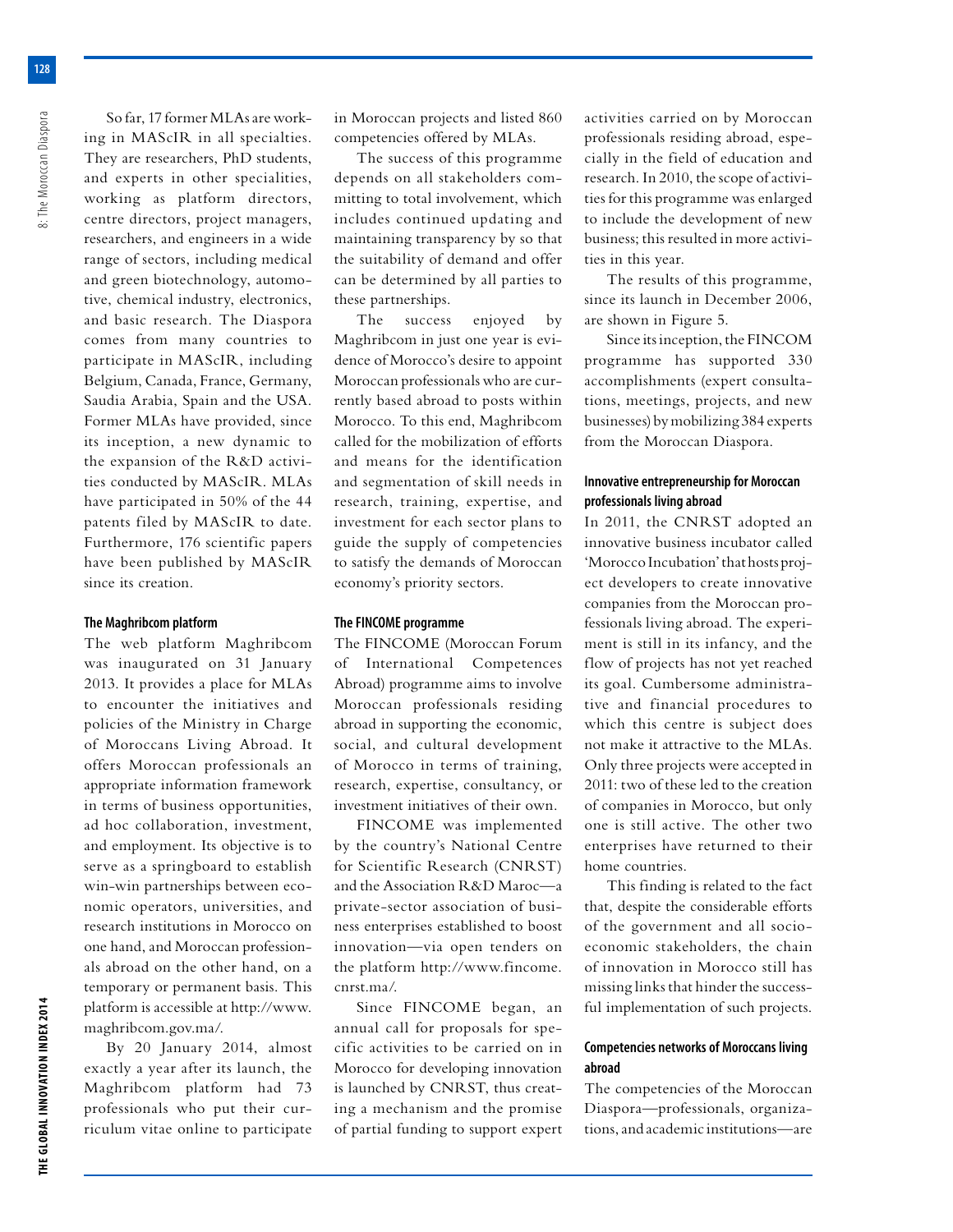So far, 17 former MLAs are working in MAScIR in all specialties. They are researchers, PhD students, and experts in other specialities, working as platform directors, centre directors, project managers, researchers, and engineers in a wide range of sectors, including medical and green biotechnology, automotive, chemical industry, electronics, and basic research. The Diaspora comes from many countries to participate in MAScIR, including Belgium, Canada, France, Germany, Saudia Arabia, Spain and the USA. Former MLAs have provided, since its inception, a new dynamic to the expansion of the R&D activities conducted by MAScIR. MLAs have participated in 50% of the 44 patents filed by MAScIR to date. Furthermore, 176 scientific papers have been published by MAScIR since its creation.

#### **The Maghribcom platform**

The web platform Maghribcom was inaugurated on 31 January 2013. It provides a place for MLAs to encounter the initiatives and policies of the Ministry in Charge of Moroccans Living Abroad. It offers Moroccan professionals an appropriate information framework in terms of business opportunities, ad hoc collaboration, investment, and employment. Its objective is to serve as a springboard to establish win-win partnerships between economic operators, universities, and research institutions in Morocco on one hand, and Moroccan professionals abroad on the other hand, on a temporary or permanent basis. This platform is accessible at http://www. maghribcom.gov.ma/.

By 20 January 2014, almost exactly a year after its launch, the Maghribcom platform had 73 professionals who put their curriculum vitae online to participate in Moroccan projects and listed 860 competencies offered by MLAs.

The success of this programme depends on all stakeholders committing to total involvement, which includes continued updating and maintaining transparency by so that the suitability of demand and offer can be determined by all parties to these partnerships.

The success enjoyed by Maghribcom in just one year is evidence of Morocco's desire to appoint Moroccan professionals who are currently based abroad to posts within Morocco. To this end, Maghribcom called for the mobilization of efforts and means for the identification and segmentation of skill needs in research, training, expertise, and investment for each sector plans to guide the supply of competencies to satisfy the demands of Moroccan economy's priority sectors.

#### **The FINCOME programme**

The FINCOME (Moroccan Forum of International Competences Abroad) programme aims to involve Moroccan professionals residing abroad in supporting the economic, social, and cultural development of Morocco in terms of training, research, expertise, consultancy, or investment initiatives of their own.

FINCOME was implemented by the country's National Centre for Scientific Research (CNRST) and the Association R&D Maroc—a private-sector association of business enterprises established to boost innovation—via open tenders on the platform http://www.fincome. cnrst.ma/.

Since FINCOME began, an annual call for proposals for specific activities to be carried on in Morocco for developing innovation is launched by CNRST, thus creating a mechanism and the promise of partial funding to support expert

activities carried on by Moroccan professionals residing abroad, especially in the field of education and research. In 2010, the scope of activities for this programme was enlarged to include the development of new business; this resulted in more activities in this year.

The results of this programme, since its launch in December 2006, are shown in Figure 5.

Since its inception, the FINCOM programme has supported 330 accomplishments (expert consultations, meetings, projects, and new businesses) by mobilizing 384 experts from the Moroccan Diaspora.

## **Innovative entrepreneurship for Moroccan professionals living abroad**

In 2011, the CNRST adopted an innovative business incubator called 'Morocco Incubation' that hosts project developers to create innovative companies from the Moroccan professionals living abroad. The experiment is still in its infancy, and the flow of projects has not yet reached its goal. Cumbersome administrative and financial procedures to which this centre is subject does not make it attractive to the MLAs. Only three projects were accepted in 2011: two of these led to the creation of companies in Morocco, but only one is still active. The other two enterprises have returned to their home countries.

This finding is related to the fact that, despite the considerable efforts of the government and all socioeconomic stakeholders, the chain of innovation in Morocco still has missing links that hinder the successful implementation of such projects.

## **Competencies networks of Moroccans living abroad**

The competencies of the Moroccan Diaspora—professionals, organizations, and academic institutions—are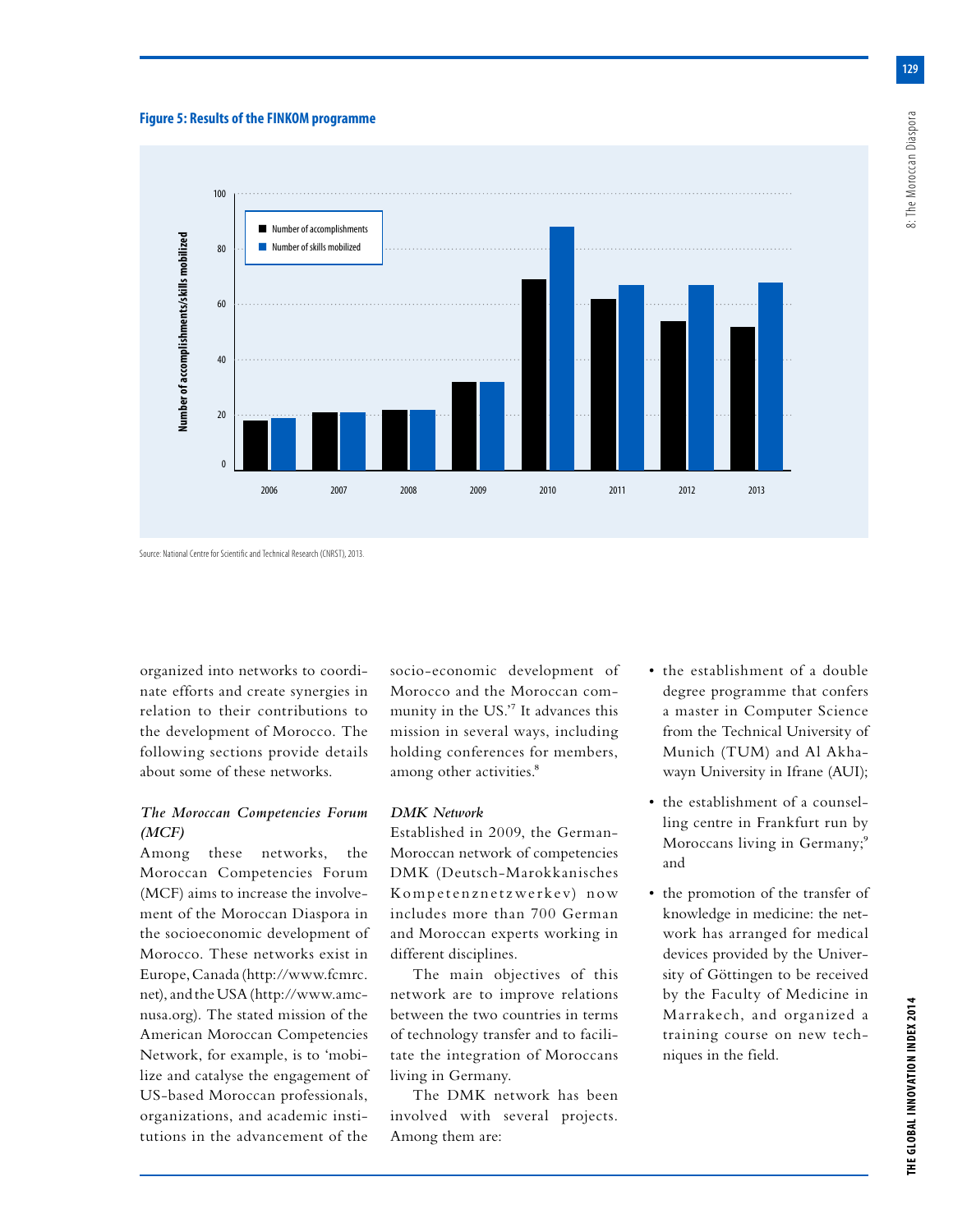#### **Figure 5: Results of the FINKOM programme**



Source: National Centre for Scientific and Technical Research (CNRST), 2013.

organized into networks to coordinate efforts and create synergies in relation to their contributions to the development of Morocco. The following sections provide details about some of these networks.

## *The Moroccan Competencies Forum (MCF)*

Among these networks, the Moroccan Competencies Forum (MCF) aims to increase the involvement of the Moroccan Diaspora in the socioeconomic development of Morocco. These networks exist in Europe, Canada (http://www.fcmrc. net), and the USA (http://www.amcnusa.org). The stated mission of the American Moroccan Competencies Network, for example, is to 'mobilize and catalyse the engagement of US-based Moroccan professionals, organizations, and academic institutions in the advancement of the

socio-economic development of Morocco and the Moroccan community in the US.'7 It advances this mission in several ways, including holding conferences for members, among other activities.<sup>8</sup>

### *DMK Network*

Established in 2009, the German-Moroccan network of competencies DMK (Deutsch-Marokkanisches Kompetenznetzwerkev) now includes more than 700 German and Moroccan experts working in different disciplines.

The main objectives of this network are to improve relations between the two countries in terms of technology transfer and to facilitate the integration of Moroccans living in Germany.

The DMK network has been involved with several projects. Among them are:

- the establishment of a double degree programme that confers a master in Computer Science from the Technical University of Munich (TUM) and Al Akhawayn University in Ifrane (AUI);
- the establishment of a counselling centre in Frankfurt run by Moroccans living in Germany;<sup>9</sup> and
- the promotion of the transfer of knowledge in medicine: the network has arranged for medical devices provided by the University of Göttingen to be received by the Faculty of Medicine in Marrakech, and organized a training course on new techniques in the field.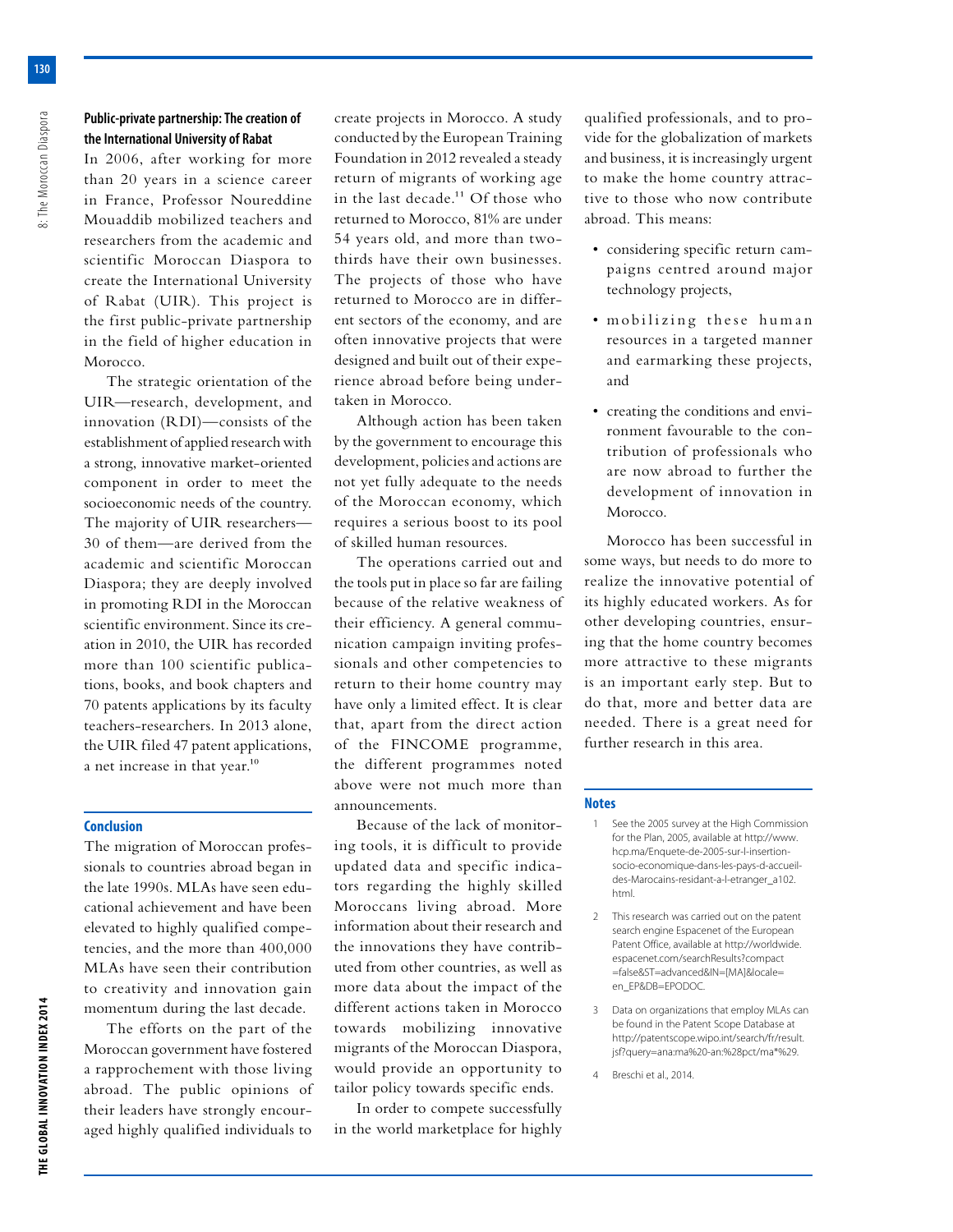## **Public-private partnership: The creation of the International University of Rabat**

In 2006, after working for more than 20 years in a science career in France, Professor Noureddine Mouaddib mobilized teachers and researchers from the academic and scientific Moroccan Diaspora to create the International University of Rabat (UIR). This project is the first public-private partnership in the field of higher education in Morocco.

The strategic orientation of the UIR—research, development, and innovation (RDI)—consists of the establishment of applied research with a strong, innovative market-oriented component in order to meet the socioeconomic needs of the country. The majority of UIR researchers— 30 of them—are derived from the academic and scientific Moroccan Diaspora; they are deeply involved in promoting RDI in the Moroccan scientific environment. Since its creation in 2010, the UIR has recorded more than 100 scientific publications, books, and book chapters and 70 patents applications by its faculty teachers-researchers. In 2013 alone, the UIR filed 47 patent applications, a net increase in that year.<sup>10</sup>

#### **Conclusion**

The migration of Moroccan professionals to countries abroad began in the late 1990s. MLAs have seen educational achievement and have been elevated to highly qualified competencies, and the more than 400,000 MLAs have seen their contribution to creativity and innovation gain momentum during the last decade.

The efforts on the part of the Moroccan government have fostered a rapprochement with those living abroad. The public opinions of their leaders have strongly encouraged highly qualified individuals to create projects in Morocco. A study conducted by the European Training Foundation in 2012 revealed a steady return of migrants of working age in the last decade.<sup>11</sup> Of those who returned to Morocco, 81% are under 54 years old, and more than twothirds have their own businesses. The projects of those who have returned to Morocco are in different sectors of the economy, and are often innovative projects that were designed and built out of their experience abroad before being undertaken in Morocco.

Although action has been taken by the government to encourage this development, policies and actions are not yet fully adequate to the needs of the Moroccan economy, which requires a serious boost to its pool of skilled human resources.

The operations carried out and the tools put in place so far are failing because of the relative weakness of their efficiency. A general communication campaign inviting professionals and other competencies to return to their home country may have only a limited effect. It is clear that, apart from the direct action of the FINCOME programme, the different programmes noted above were not much more than announcements.

Because of the lack of monitoring tools, it is difficult to provide updated data and specific indicators regarding the highly skilled Moroccans living abroad. More information about their research and the innovations they have contributed from other countries, as well as more data about the impact of the different actions taken in Morocco towards mobilizing innovative migrants of the Moroccan Diaspora, would provide an opportunity to tailor policy towards specific ends.

In order to compete successfully in the world marketplace for highly qualified professionals, and to provide for the globalization of markets and business, it is increasingly urgent to make the home country attractive to those who now contribute abroad. This means:

- considering specific return campaigns centred around major technology projects,
- mobilizing these human resources in a targeted manner and earmarking these projects, and
- creating the conditions and environment favourable to the contribution of professionals who are now abroad to further the development of innovation in Morocco.

Morocco has been successful in some ways, but needs to do more to realize the innovative potential of its highly educated workers. As for other developing countries, ensuring that the home country becomes more attractive to these migrants is an important early step. But to do that, more and better data are needed. There is a great need for further research in this area.

#### **Notes**

- 1 See the 2005 survey at the High Commission for the Plan, 2005, available at http://www. hcp.ma/Enquete-de-2005-sur-l-insertionsocio-economique-dans-les-pays-d-accueildes-Marocains-residant-a-l-etranger\_a102. html.
- 2 This research was carried out on the patent search engine Espacenet of the European Patent Office, available at http://worldwide. espacenet.com/searchResults?compact =false&ST=advanced&IN=[MA]&locale= en\_EP&DB=EPODOC.
- 3 Data on organizations that employ MLAs can be found in the Patent Scope Database at http://patentscope.wipo.int/search/fr/result. jsf?query=ana:ma%20-an:%28pct/ma\*%29.
- 4 Breschi et al., 2014.